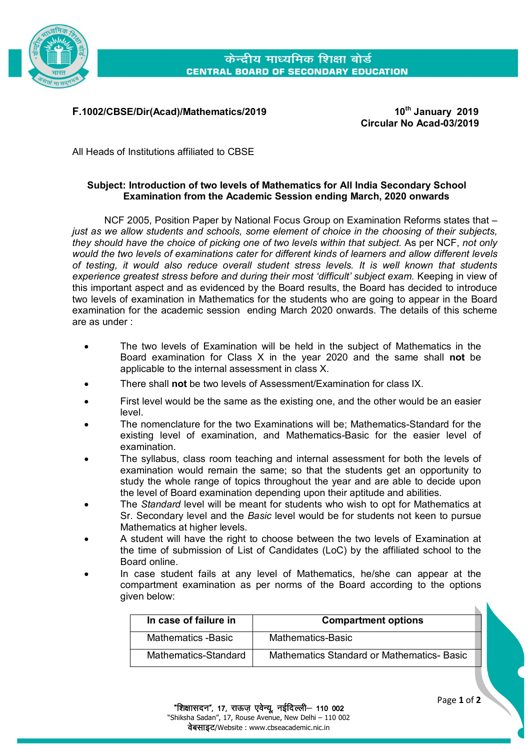

केन्द्रीय माध्यमिक शिक्षा बोर्ड **CENTRAL BOARD OF SECONDARY EDUCATION** 

## **F.1002/CBSE/Dir(Acad)/Mathematics/2019 10th January 2019**

**Circular No Acad-03/2019**

All Heads of Institutions affiliated to CBSE

## **Subject: Introduction of two levels of Mathematics for All India Secondary School Examination from the Academic Session ending March, 2020 onwards**

NCF 2005, Position Paper by National Focus Group on Examination Reforms states that – *just as we allow students and schools, some element of choice in the choosing of their subjects, they should have the choice of picking one of two levels within that subject.* As per NCF, *not only would the two levels of examinations cater for different kinds of learners and allow different levels of testing, it would also reduce overall student stress levels. It is well known that students experience greatest stress before and during their most 'difficult' subject exam.* Keeping in view of this important aspect and as evidenced by the Board results, the Board has decided to introduce two levels of examination in Mathematics for the students who are going to appear in the Board examination for the academic session ending March 2020 onwards. The details of this scheme are as under :

- The two levels of Examination will be held in the subject of Mathematics in the Board examination for Class X in the year 2020 and the same shall **not** be applicable to the internal assessment in class X.
- There shall **not** be two levels of Assessment/Examination for class IX.
- First level would be the same as the existing one, and the other would be an easier level.
- The nomenclature for the two Examinations will be; Mathematics-Standard for the existing level of examination, and Mathematics*-*Basic for the easier level of examination.
- The syllabus, class room teaching and internal assessment for both the levels of examination would remain the same; so that the students get an opportunity to study the whole range of topics throughout the year and are able to decide upon the level of Board examination depending upon their aptitude and abilities.
- The *Standard* level will be meant for students who wish to opt for Mathematics at Sr. Secondary level and the *Basic* level would be for students not keen to pursue Mathematics at higher levels.
- A student will have the right to choose between the two levels of Examination at the time of submission of List of Candidates (LoC) by the affiliated school to the Board online.
- In case student fails at any level of Mathematics, he/she can appear at the compartment examination as per norms of the Board according to the options given below:

| In case of failure in | <b>Compartment options</b>                       |
|-----------------------|--------------------------------------------------|
| Mathematics -Basic    | Mathematics-Basic                                |
| Mathematics-Standard  | <b>Mathematics Standard or Mathematics-Basic</b> |